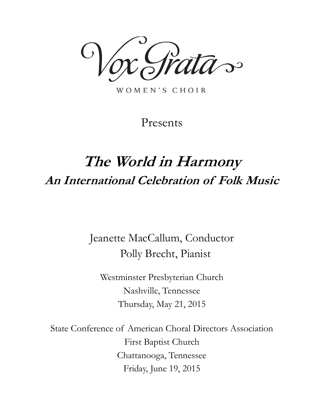$\mathcal{S}$ 

WOMEN'S CHOIR

Presents

# **The World in Harmony An International Celebration of Folk Music**

Jeanette MacCallum, Conductor Polly Brecht, Pianist

Westminster Presbyterian Church Nashville, Tennessee Thursday, May 21, 2015

State Conference of American Choral Directors Association First Baptist Church Chattanooga, Tennessee Friday, June 19, 2015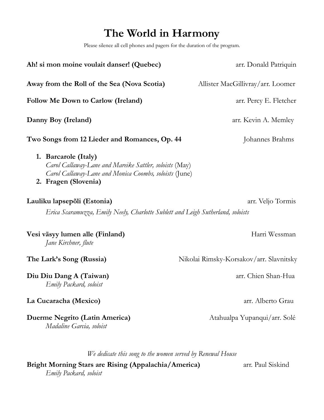## **The World in Harmony**

Please silence all cell phones and pagers for the duration of the program.

| Ah! si mon moine voulait danser! (Quebec)                                                                                                                         | arr. Donald Patriquin                   |
|-------------------------------------------------------------------------------------------------------------------------------------------------------------------|-----------------------------------------|
| Away from the Roll of the Sea (Nova Scotia)                                                                                                                       | Allister MacGillivray/arr. Loomer       |
| <b>Follow Me Down to Carlow (Ireland)</b>                                                                                                                         | arr. Percy E. Fletcher                  |
| Danny Boy (Ireland)                                                                                                                                               | arr. Kevin A. Memley                    |
| Two Songs from 12 Lieder and Romances, Op. 44                                                                                                                     | Johannes Brahms                         |
| 1. Barcarole (Italy)<br>Carol Callaway-Lane and Mareike Sattler, soloists (May)<br>Carol Callaway-Lane and Monica Coombs, soloists (June)<br>2. Fragen (Slovenia) |                                         |
| Lauliku lapsepõli (Estonia)                                                                                                                                       | arr. Veljo Tormis                       |
| Erica Scaramuzza, Emily Neely, Charlotte Sublett and Leigh Sutherland, soloists                                                                                   |                                         |
| Vesi väsyy lumen alle (Finland)<br>Jane Kirchner, flute                                                                                                           | Harri Wessman                           |
| The Lark's Song (Russia)                                                                                                                                          | Nikolai Rimsky-Korsakov/arr. Slavnitsky |
| Diu Diu Dang A (Taiwan)<br>Emily Packard, soloist                                                                                                                 | arr. Chien Shan-Hua                     |
| La Cucaracha (Mexico)                                                                                                                                             | arr. Alberto Grau                       |
| Duerme Negrito (Latin America)<br>Madaline Garcia, soloist                                                                                                        | Atahualpa Yupanqui/arr. Solé            |
|                                                                                                                                                                   |                                         |

*We dedicate this song to the women served by Renewal House*

**Bright Morning Stars are Rising (Appalachia/America)** arr. Paul Siskind *Emily Packard, soloist*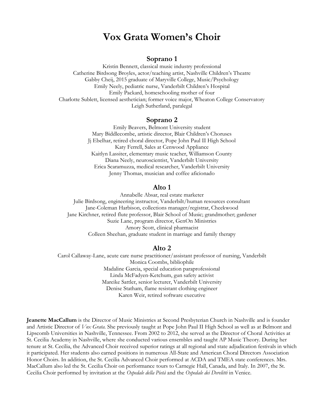## **Vox Grata Women's Choir**

#### **Soprano 1**

Kristin Bennett, classical music industry professional Catherine Birdsong Broyles, actor/teaching artist, Nashville Children's Theatre Gabby Cheij, 2015 graduate of Maryville College, Music/Psychology Emily Neely, pediatric nurse, Vanderbilt Children's Hospital Emily Packard, homeschooling mother of four Charlotte Sublett, licensed aesthetician; former voice major, Wheaton College Conservatory Leigh Sutherland, paralegal

#### **Soprano 2**

Emily Beavers, Belmont University student Mary Biddlecombe, artistic director, Blair Children's Choruses Jj Ebelhar, retired choral director, Pope John Paul II High School Katy Ferrell, Sales at Cenwood Appliance Kaitlyn Lassiter, elementary music teacher, Williamson County Diana Neely, neuroscientist, Vanderbilt University Erica Scaramuzza, medical researcher, Vanderbilt University Jenny Thomas, musician and coffee aficionado

#### **Alto 1**

Annabelle Absar, real estate marketer Julie Birdsong, engineering instructor, Vanderbilt/human resources consultant Jane-Coleman Harbison, collections manager/registrar, Cheekwood Jane Kirchner, retired flute professor, Blair School of Music; grandmother; gardener Suzie Lane, program director, GenOn Ministries Amory Scott, clinical pharmacist Colleen Sheehan, graduate student in marriage and family therapy

#### **Alto 2**

Carol Callaway-Lane, acute care nurse practitioner/assistant professor of nursing, Vanderbilt Monica Coombs, bibliophile Madaline Garcia, special education paraprofessional Linda McFadyen-Ketchum, gun safety activist Mareike Sattler, senior lecturer, Vanderbilt University Denise Statham, flame resistant clothing engineer Karen Weir, retired software executive

**Jeanette MacCallum** is the Director of Music Ministries at Second Presbyterian Church in Nashville and is founder and Artistic Director of *Vox Grata.* She previously taught at Pope John Paul II High School as well as at Belmont and Lipscomb Universities in Nashville, Tennessee. From 2002 to 2012, she served as the Director of Choral Activities at St. Cecilia Academy in Nashville, where she conducted various ensembles and taught AP Music Theory. During her tenure at St. Cecilia, the Advanced Choir received superior ratings at all regional and state adjudication festivals in which it participated. Her students also earned positions in numerous All-State and American Choral Directors Association Honor Choirs. In addition, the St. Cecilia Advanced Choir performed at ACDA and TMEA state conferences. Mrs. MacCallum also led the St. Cecilia Choir on performance tours to Carnegie Hall, Canada, and Italy. In 2007, the St. Cecilia Choir performed by invitation at the *Ospedale della Pietà* and the *Ospedale dei Derelitti* in Venice.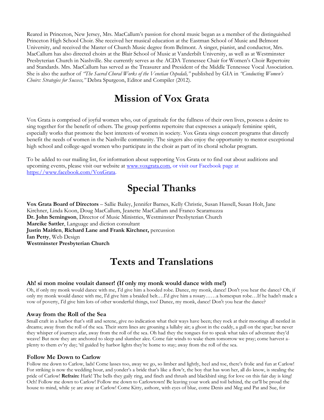Reared in Princeton, New Jersey, Mrs. MacCallum's passion for choral music began as a member of the distinguished Princeton High School Choir. She received her musical education at the Eastman School of Music and Belmont University, and received the Master of Church Music degree from Belmont. A singer, pianist, and conductor, Mrs. MacCallum has also directed choirs at the Blair School of Music at Vanderbilt University, as well as at Westminster Presbyterian Church in Nashville. She currently serves as the ACDA Tennessee Chair for Women's Choir Repertoire and Standards. Mrs. MacCallum has served as the Treasurer and President of the Middle Tennessee Vocal Association. She is also the author of *"The Sacred Choral Works of the Venetian Ospedali,"* published by GIA in *"Conducting Women's Choirs: Strategies for Success,"* Debra Spurgeon, Editor and Compiler (2012).

## **Mission of Vox Grata**

Vox Grata is comprised of joyful women who, out of gratitude for the fullness of their own lives, possess a desire to sing together for the benefit of others. The group performs repertoire that expresses a uniquely feminine spirit, especially works that promote the best interests of women in society. Vox Grata sings concert programs that directly benefit the needs of women in the Nashville community. The singers also enjoy the opportunity to mentor exceptional high school and college-aged women who participate in the choir as part of its choral scholar program.

To be added to our mailing list, for information about supporting Vox Grata or to find out about auditions and upcoming events, please visit our website at [www.voxgrata.com,](http://www.voxgrata.com/) or visit our Facebook page at [https://www.facebook.com/VoxGrata.](https://www.facebook.com/VoxGrata)

## **Special Thanks**

**Vox Grata Board of Directors** – Sallie Bailey, Jennifer Barnes, Kelly Christie, Susan Hassell, Susan Holt, Jane Kirchner, Linda Koon, Doug MacCallum, Jeanette MacCallum and Franco Scaramuzza **Dr. John Semingson**, Director of Music Ministries, Westminster Presbyterian Church **Mareike Sattler**, Language and diction consultant **Justin Maitlen**, **Richard Lane and Frank Kirchner,** percussion **Ian Petty**, Web Design **Westminster Presbyterian Church**

## **Texts and Translations**

#### **Ah! si mon moine voulait danser! (If only my monk would dance with me!)**

Oh, if only my monk would dance with me, I'd give him a hooded robe. Dance, my monk, dance! Don't you hear the dance? Oh, if only my monk would dance with me, I'd give him a braided belt.…I'd give him a rosary……a homespun robe…If he hadn't made a vow of poverty, I'd give him lots of other wonderful things, too! Dance, my monk, dance! Don't you hear the dance?

#### **Away from the Roll of the Sea**

Small craft in a harbor that's still and serene, give no indication what their ways have been; they rock at their moorings all nestled in dreams; away from the roll of the sea. Their stern lines are groaning a lullaby air; a ghost in the cuddy, a gull on the spar; but never they whisper of journeys afar, away from the roll of the sea. Oh had they the tongues for to speak what tales of adventure they'd weave! But now they are anchored to sleep and slumber alee. Come fair winds to wake them tomorrow we pray; come harvest aplenty to them ev'ry day; 'til guided by harbor lights they're home to stay; away from the roll of the sea.

#### **Follow Me Down to Carlow**

Follow me down to Carlow, lads! Come lasses too, away we go, so limber and lightly, heel and toe, there's frolic and fun at Carlow! For striking is now the wedding hour, and yonder's a bride that's like a flow'r, the boy that has won her, all do know, is stealing the pride of Carlow! **Refrain:** Hark! The bells they gaily ring, and finch and thrush and blackbird sing; for love on this fair day is king! Och! Follow me down to Carlow! Follow me down to Carlowtown! Be leaving your work and toil behind, the cat'll be proud the house to mind, while ye are away at Carlow! Come Kitty, asthore, with eyes of blue, come Denis and Meg and Pat and Sue, for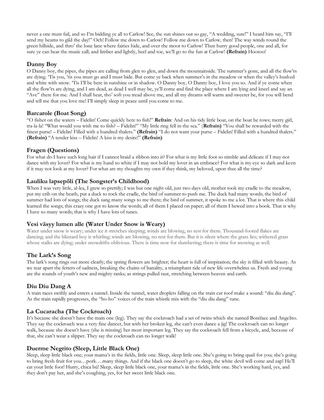never a one must fail, and so I'm bidding ye all to Carlow! See, the sun shines out so gay, "A wedding, sure!" I heard him say, "I'll send my beams to gild the day!" Och! Follow me down to Carlow! Follow me down to Carlow, then! The way winds round the green hillside, and thro' the lone lane where fairies hide, and over the moor to Carlow! Then hurry good people, one and all, for sure ye can hear the music call; and limber and lightly, heel and toe, we'll go to the fun at Carlow! **(Refrain)** Hooroo!

### **Danny Boy**

O Danny boy, the pipes, the pipes are calling from glen to glen, and down the mountainside. The summer's gone, and all the flow'rs are dying. 'Tis you, 'tis you must go and I must bide. But come ye back when summer's in the meadow or when the valley's hushed and white with snow. 'Tis I'll be here in sunshine or in shadow. O Danny boy, O Danny boy, I love you so. And if ye come when all the flow'rs are dying, and I am dead, as dead I well may be, ye'll come and find the place where I am lying and kneel and say an "Ave" there for me. And I shall hear, tho' soft you tread above me, and all my dreams will warm and sweeter be, for you will bend and tell me that you love me! I'll simply sleep in peace until you come to me.

#### **Barcarole (Boat Song)**

"O fisher on the waters – Fidelin! Come quickly here to fish!" **Refrain**: And on his tidy little boat, on the boat he rows; merry girl, tra-la-la! "What would you wish me to fish? – Fidelin!" "My little ring fell in the sea." (**Refrain)** "You shall be rewarded with the finest purse! – Fidelin! Filled with a hundred thalers." **(Refrain)** "I do not want your purse – Fidelin! Filled with a hundred thalers." **(Refrain)** "A tender kiss – Fidelin! A kiss is my desire!" **(Refrain)**

### **Fragen (Questions)**

For what do I have such long hair if I cannot braid a ribbon into it? For what is my little foot so nimble and delicate if I may not dance with my lover? For what is my hand so white if I may not hold my lover in an embrace? For what is my eye so dark and keen if it may not look at my lover? For what are my thoughts my own if they think, my beloved, upon thee all the time?

### **Lauliku lapsepõli (The Songster's Childhood)**

When I was very little, al-lea, I grew so prettily; I was but one night old, just two days old, mother took my cradle to the meadow, put my crib on the heath, put a duck to rock the cradle, the bird of summer to push me. The duck had many words; the bird of summer had lots of songs; the duck sang many songs to me there; the bird of summer, it spoke to me a lot. That is where this child learned the songs; this crazy one got to know the words; all of them I placed on paper; all of them I hewed into a book. That is why I have so many words; that is why I have lots of tunes.

### **Vesi väsyy lumen alle (Water Under Snow is Weary)**

Water under snow is weary; under ice it stretches sleeping; winds are blowing, no rest for them. Thousand-footed flakes are dancing; and the blizzard boy is whirling; winds are blowing, no rest for them. But it is silent where the grass lies; withered grass whose stalks are dying; under snowdrifts oblivious. There is time now for slumbering; there is time for snowing as well.

### **The Lark's Song**

The lark's song rings out more clearly; the spring flowers are brighter; the heart is full of inspiration; the sky is filled with beauty. As we tear apart the fetters of sadness, breaking the chains of banality, a triumphant tide of new life overwhelms us. Fresh and young are the sounds of youth's new and mighty ranks; as strings pulled taut, stretching between heaven and earth.

### **Diu Diu Dang A**

A train races swiftly and enters a tunnel. Inside the tunnel, water droplets falling on the train car roof make a sound: "diu diu dang". As the train rapidly progresses, the "ho-ho" voices of the train whistle mix with the "diu diu dang" tune.

### **La Cucaracha (The Cockroach)**

It's because she doesn't have the main one (leg). They say the cockroach had a set of twins which she named Boniface and Angelito. They say the cockroach was a very fine dancer, but with her broken leg, she can't even dance a jig! The cockroach can no longer walk, because she doesn't have (she is missing) her most important leg. They say the cockroach fell from a bicycle, and, because of that, she can't wear a slipper. They say the cockroach can no longer walk!

#### **Duerme Negrito (Sleep, Little Black One)**

Sleep, sleep little black one; your mama's in the fields, little one. Sleep, sleep little one. She's going to bring quail for you; she's going to bring fresh fruit for you…pork….many things. And if the black one doesn't go to sleep, the white devil will come and zap! He'll eat your little foot! Hurry, chica bú! Sleep, sleep little black one, your mama's in the fields, little one. She's working hard, yes, and they don't pay her, and she's coughing, yes, for her sweet little black one.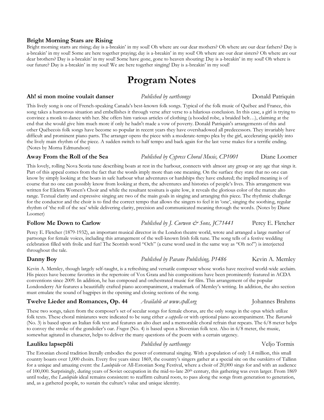#### **Bright Morning Stars are Rising**

Bright morning starts are rising; day is a-breakin' in my soul! Oh where are our dear mothers? Oh where are our dear fathers? Day is a-breakin' in my soul! Some are here together praying; day is a-breakin' in my soul! Oh where are our dear sisters? Oh where are our dear brothers? Day is a-breakin' in my soul! Some have gone, gone to heaven shouting: Day is a-breakin' in my soul! Oh where is our future? Day is a-breakin' in my soul! We are here together singing! Day is a-breakin' in my soul!

## **Program Notes**

#### **Ah! si mon moine voulait danser** *Published by earthsongs* **business** *Donald Patriquin*

This lively song is one of French-speaking Canada's best-known folk songs. Typical of the folk music of Québec and France, this song takes a humorous situation and embellishes it through verse after verse to a hilarious conclusion. In this case, a girl is trying to convince a monk to dance with her. She offers him various articles of clothing (a hooded robe, a braided belt…), claiming at the end that she would give him much more if only he hadn't made a vow of poverty. Donald Patriquin's arrangements of this and other Québecois folk songs have become so popular in recent years they have overshadowed all predecessors. They invariably have difficult and prominent piano parts. The arranger opens the piece with a moderate-tempo plea by the girl, accelerating quickly into the lively main rhythm of the piece. A sudden switch to half tempo and back again for the last verse makes for a terrific ending. (Notes by Morna Edmundson)

#### **Away From the Roll of the Sea** *Published by Cypress Choral Music, CP1001*Diane Loomer

This lovely, rolling Nova Scotia tune describing boats at rest in the harbour, connects with almost any group or any age that sings it. Part of this appeal comes from the fact that the words imply more than one meaning. On the surface they state that no one can know by simply looking at the boats in safe harbour what adventures or hardships they have endured; the implied meaning is of course that no one can possibly know from looking at them, the adventures and histories of people's lives. This arrangement was written for Elektra Women's Choir and while the resultant tessitura is quite low, it reveals the glorious color of the mature alto range. Textual clarity and expressive singing are two of the main goals in singing and arranging this piece. The rhythmic challenge for the conductor and the choir is to find the correct tempo that allows the singers to feel it in 'one', singing the soothing, regular rhythm of 'the roll of the sea' while delivering clarity, precision and communicated meaning through the words. (Notes by Diane Loomer)

Percy E. Fletcher (1879-1932), an important musical director in the London theatre world, wrote and arranged a large number of partsongs for female voices, including this arrangement of the well-known Irish folk tune. The song tells of a festive wedding celebration filled with frolic and fun! The Scottish word "Och" (a curse word used in the same way as "Oh no!") is interjected throughout the tale.

Kevin A. Memley, though largely self-taught, is a refreshing and versatile composer whose works have received world-wide acclaim. His pieces have become favorites in the repertoire of Vox Grata and his compositions have been prominently featured in ACDA conventions since 2009. In addition, he has composed and orchestrated music for film. This arrangement of the popular Londonderry Air features a beautifully crafted piano accompaniment, a trademark of Memley's writing. In addition, the alto section must emulate the sound of bagpipes in the opening and closing sections of the song.

### **Twelve Lieder and Romances, Op. 44** *Available at www.cpdl.org*Johannes Brahms

These two songs, taken from the composer's set of secular songs for female chorus, are the only songs in the opus which utilize folk texts. These choral miniatures were indicated to be sung either *a cappella* or with optional piano accompaniment. The *Barcarole* (No. 3) is based upon an Italian folk text and features an alto duet and a memorable choral refrain that repeats. The 6/8 meter helps to convey the stroke of the gondolier's oar. *Fragen* (No. 4) is based upon a Slovenian folk text. Also in 6/8 meter, the music, somewhat agitated in character, helps to deliver the many questions of the poem with a certain urgency.

#### **Lauliku lapsepõli** *Published by earthsongs*Veljo Tormis

The Estonian choral tradition literally embodies the power of communal singing. With a population of only 1.4 million, this small country boasts over 1,000 choirs. Every five years since 1869, the country's singers gather at a special site on the outskirts of Tallinn for a unique and amazing event: the *Laulupidu* or All-Estonian Song Festival, where a choir of 20,000 sings for and with an audience of 100,000. Surprisingly, during years of Soviet occupation in the mid-to-late 20th century, this gathering was even larger. From 1869 until today, the *Laulupidu* ideal remains consistent: to reaffirm cultural roots, to pass along the songs from generation to generation, and, as a gathered people, to sustain the culture's value and unique identity.

## **Follow Me Down to Carlow** *Published by J. Curwen & Sons, JC71441* Percy E. Fletcher

### **Danny Boy** *Published by Pavane Publishing, P1486* Kevin A. Memley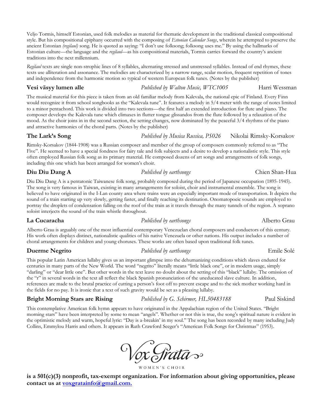Veljo Tormis, himself Estonian, used folk melodies as material for thematic development in the traditional classical compositional style. But his compositional epiphany occurred with the composing of *Estonian Calendar Songs*, wherein he attempted to preserve the ancient Estonian *(regilaul)* song. He is quoted as saying: "I don't use folksong; folksong uses me." By using the hallmarks of Estonian culture—the language and the *regilaul*—as his compositional materials, Tormis carries forward the country's ancient traditions into the next millennium.

*Regilaul* texts are single non-strophic lines of 8 syllables, alternating stressed and unstressed syllables. Instead of end rhymes, these texts use alliteration and assonance. The melodies are characterized by a narrow range, scalar motion, frequent repetition of tones and independence from the harmonic motion so typical of western European folk tunes. (Notes by the publisher)

### **Vesi väsyy lumen alle** *Published by Walton Music, WTC1005* Harri Wessman

The musical material for this piece is taken from an old familiar melody from Kalevala, the national epic of Finland. Every Finn would recognize it from school songbooks as the "Kalevala tune". It features a melody in 5/4 meter with the range of notes limited to a minor pentachord. This work is divided into two sections—the first half an extended introduction for flute and piano. The composer develops the Kalevala tune which climaxes in flutter tongue glissandos from the flute followed by a relaxation of the mood. As the choir joins in in the second section, the setting changes, now dominated by the peaceful 3/4 rhythms of the piano and attractive harmonies of the choral parts. (Notes by the publisher)

**The Lark's Song** *Published by Musica Russica, PS026* Nikolai Rimsky-Korsakov

Rimsky-Korsakov (1844-1908) was a Russian composer and member of the group of composers commonly referred to as "The Five". He seemed to have a special fondness for fairy tale and folk subjects and a desire to develop a nationalistic style. This style often employed Russian folk song as its primary material. He composed dozens of art songs and arrangements of folk songs, including this one which has been arranged for women's choir.

### **Diu Diu Dang A** *Published by earthsongs* Chien Shan-Hua

Diu Diu Dang A is a pentatonic Taiwanese folk song, probably composed during the period of Japanese occupation (1895-1945). The song is very famous in Taiwan, existing in many arrangements for soloist, choir and instrumental ensemble. The song is believed to have originated in the I-Lan county area where trains were an especially important mode of transportation. It depicts the sound of a train starting up very slowly, getting faster, and finally reaching its destination. Onomatopoeic sounds are employed to portray the droplets of condensation falling on the roof of the train as it travels through the many tunnels of the region. A soprano soloist interjects the sound of the train whistle throughout.

**La Cucaracha** *Published by earthsongs* Alberto Grau

Alberto Grau is arguably one of the most influential contemporary Venezuelan choral composers and conductors of this century. His work often displays distinct, nationalistic qualities of his native Venezuela or other nations. His output includes a number of choral arrangements for children and young choruses. These works are often based upon traditional folk tunes.

This popular Latin American lullaby gives us an important glimpse into the dehumanizing conditions which slaves endured for centuries in many parts of the New World. The word "negrito" literally means "little black one", or in modern usage, simply "darling" or "dear little one". But other words in the text leave no doubt about the setting of this "black" lullaby. The omission of the "r" in several words in the text all reflect the black Spanish pronunciation of the uneducated slave culture. In addition, references are made to the brutal practice of cutting a person's foot off to prevent escape and to the sick mother working hard in the fields for no pay. It is ironic that a text of such gravity would be set as a pleasing lullaby.

### **Bright Morning Stars are Rising**  *Published by G. Schirmer, HL50483188* Paul Siskind

This contemplative American folk hymn appears to have originated in the Appalachian region of the United States. "Bright morning stars" have been interpreted by some to mean "angels". Whether or not this is true, the song's spiritual nature is evident in the optimistic melody and warm, hopeful lyric: "Day is a-breakin' in my soul." The song has been recorded by many including Judy Collins, Emmylou Harris and others. It appears in Ruth Crawford Seeger's "American Folk Songs for Christmas" (1953).

WOMEN'S CHOIR

**is a 501(c)(3) nonprofit, tax-exempt organization. For information about giving opportunities, please contact us at [voxgratainfo@gmail.com.](mailto:voxgratainfo@gmail.com)**

**Duerme Negrito** *Published by earthsongs* Emile Solé

Vox Grata »